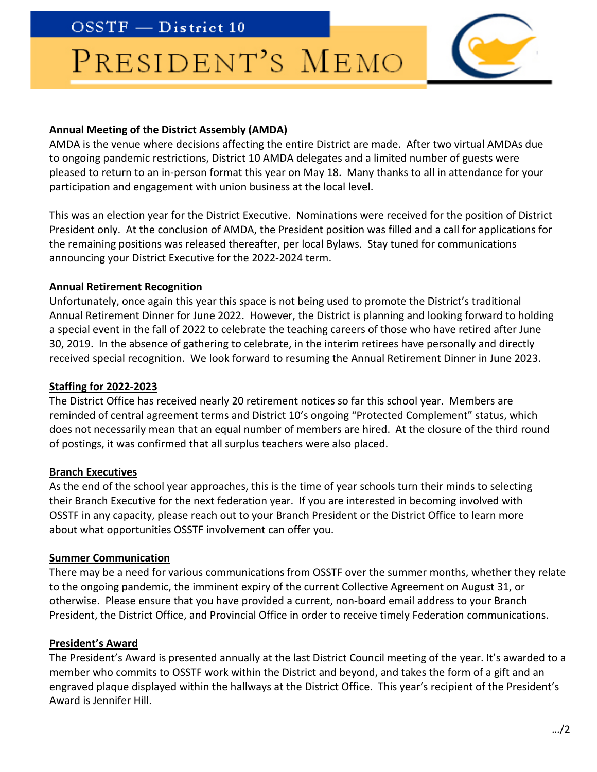$OSSTF - District 10$ 

# PRESIDENT'S MEMO



## **Annual Meeting of the District Assembly (AMDA)**

AMDA is the venue where decisions affecting the entire District are made. After two virtual AMDAs due to ongoing pandemic restrictions, District 10 AMDA delegates and a limited number of guests were pleased to return to an in-person format this year on May 18. Many thanks to all in attendance for your participation and engagement with union business at the local level.

This was an election year for the District Executive. Nominations were received for the position of District President only. At the conclusion of AMDA, the President position was filled and a call for applications for the remaining positions was released thereafter, per local Bylaws. Stay tuned for communications announcing your District Executive for the 2022-2024 term.

## **Annual Retirement Recognition**

Unfortunately, once again this year this space is not being used to promote the District's traditional Annual Retirement Dinner for June 2022. However, the District is planning and looking forward to holding a special event in the fall of 2022 to celebrate the teaching careers of those who have retired after June 30, 2019. In the absence of gathering to celebrate, in the interim retirees have personally and directly received special recognition. We look forward to resuming the Annual Retirement Dinner in June 2023.

## **Staffing for 2022-2023**

The District Office has received nearly 20 retirement notices so far this school year. Members are reminded of central agreement terms and District 10's ongoing "Protected Complement" status, which does not necessarily mean that an equal number of members are hired. At the closure of the third round of postings, it was confirmed that all surplus teachers were also placed.

#### **Branch Executives**

As the end of the school year approaches, this is the time of year schools turn their minds to selecting their Branch Executive for the next federation year. If you are interested in becoming involved with OSSTF in any capacity, please reach out to your Branch President or the District Office to learn more about what opportunities OSSTF involvement can offer you.

#### **Summer Communication**

There may be a need for various communications from OSSTF over the summer months, whether they relate to the ongoing pandemic, the imminent expiry of the current Collective Agreement on August 31, or otherwise. Please ensure that you have provided a current, non-board email address to your Branch President, the District Office, and Provincial Office in order to receive timely Federation communications.

#### **President's Award**

The President's Award is presented annually at the last District Council meeting of the year. It's awarded to a member who commits to OSSTF work within the District and beyond, and takes the form of a gift and an engraved plaque displayed within the hallways at the District Office. This year's recipient of the President's Award is Jennifer Hill.